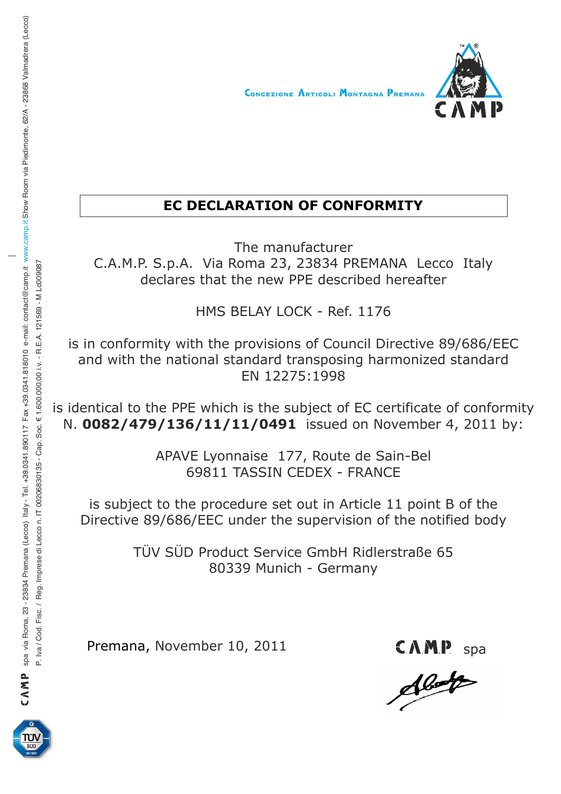

## **EC DECLARATION OF CONFORMITY**

The manufacturer C.A.M.P. S.p.A. Via Roma 23, 23834 PREMANA Lecco Italy declares that the new PPE described hereafter

HMS BELAY LOCK - Ref. 1176

is in conformity with the provisions of Council Directive 89/686/EEC and with the national standard transposing harmonized standard EN 12275:1998

is identical to the PPE which is the subject of EC certificate of conformity N. **0082/479/136/11/11/0491** issued on November 4, 2011 by:

> APAVE Lyonnaise 177, Route de Sain-Bel 69811 TASSIN CEDEX - FRANCE

is subject to the procedure set out in Article 11 point B of the Directive 89/686/EEC under the supervision of the notified body

> TÜV SÜD Product Service GmbH Ridlerstraße 65 80339 Munich - Germany

Premana, November 10, 2011

CAMP<sub>s</sub>